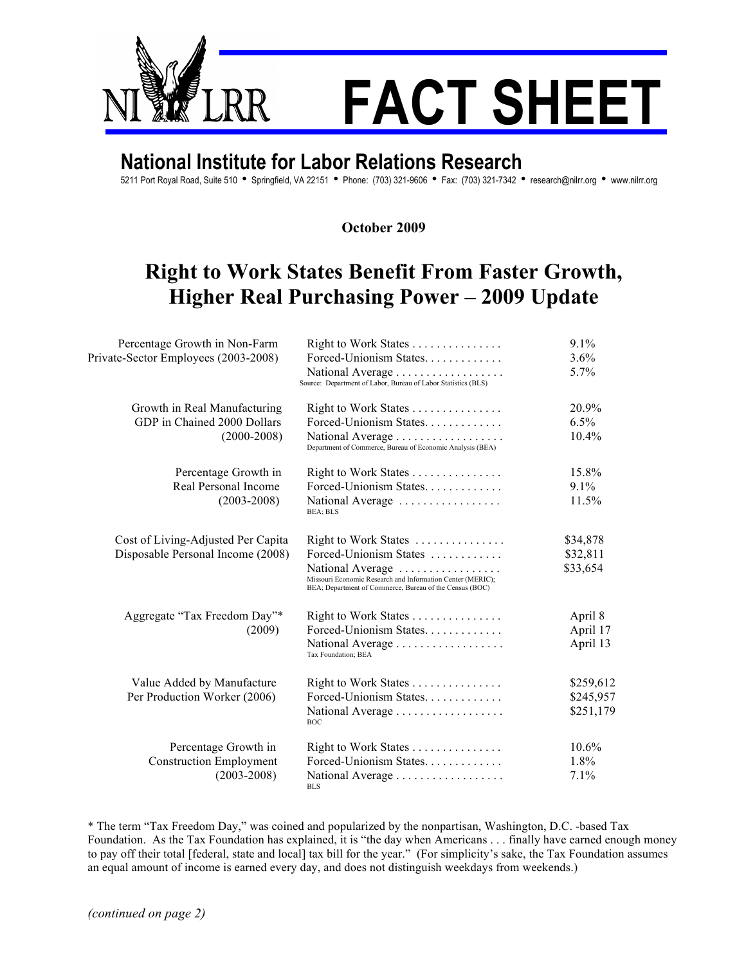

## **National Institute for Labor Relations Research**

5211 Port Royal Road, Suite 510 · Springfield, VA 22151 · Phone: (703) 321-9606 · Fax: (703) 321-7342 · research@nilrr.org · www.nilrr.org

**October 2009**

## **Right to Work States Benefit From Faster Growth, Higher Real Purchasing Power – 2009 Update**

| Percentage Growth in Non-Farm<br>Private-Sector Employees (2003-2008)          | Right to Work States<br>Forced-Unionism States.<br>National Average<br>Source: Department of Labor, Bureau of Labor Statistics (BLS)                                                        | 9.1%<br>3.6%<br>5.7%                |
|--------------------------------------------------------------------------------|---------------------------------------------------------------------------------------------------------------------------------------------------------------------------------------------|-------------------------------------|
| Growth in Real Manufacturing<br>GDP in Chained 2000 Dollars<br>$(2000 - 2008)$ | Right to Work States<br>Forced-Unionism States.<br>National Average<br>Department of Commerce, Bureau of Economic Analysis (BEA)                                                            | 20.9%<br>6.5%<br>10.4%              |
| Percentage Growth in<br>Real Personal Income<br>$(2003 - 2008)$                | Right to Work States<br>Forced-Unionism States.<br>National Average<br>BEA; BLS                                                                                                             | 15.8%<br>$9.1\%$<br>11.5%           |
| Cost of Living-Adjusted Per Capita<br>Disposable Personal Income (2008)        | Right to Work States<br>Forced-Unionism States<br>National Average<br>Missouri Economic Research and Information Center (MERIC);<br>BEA; Department of Commerce, Bureau of the Census (BOC) | \$34,878<br>\$32,811<br>\$33,654    |
| Aggregate "Tax Freedom Day"*<br>(2009)                                         | Right to Work States<br>Forced-Unionism States.<br>National Average<br>Tax Foundation; BEA                                                                                                  | April 8<br>April 17<br>April 13     |
| Value Added by Manufacture<br>Per Production Worker (2006)                     | Right to Work States<br>Forced-Unionism States.<br>National Average<br><b>BOC</b>                                                                                                           | \$259,612<br>\$245,957<br>\$251,179 |
| Percentage Growth in<br><b>Construction Employment</b><br>$(2003 - 2008)$      | Right to Work States<br>Forced-Unionism States<br>National Average<br>BLS                                                                                                                   | $10.6\%$<br>1.8%<br>7.1%            |

\* The term "Tax Freedom Day," was coined and popularized by the nonpartisan, Washington, D.C. -based Tax Foundation. As the Tax Foundation has explained, it is "the day when Americans . . . finally have earned enough money to pay off their total [federal, state and local] tax bill for the year." (For simplicity's sake, the Tax Foundation assumes an equal amount of income is earned every day, and does not distinguish weekdays from weekends.)